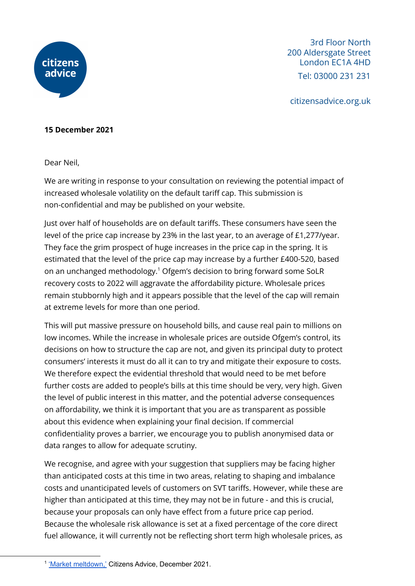

3rd Floor North 200 Aldersgate Street London EC1A 4HD Tel: 03000 231 231

citizensadvice.org.uk

## **15 December 2021**

Dear Neil,

We are writing in response to your consultation on reviewing the potential impact of increased wholesale volatility on the default tariff cap. This submission is non-confidential and may be published on your website.

Just over half of households are on default tariffs. These consumers have seen the level of the price cap increase by 23% in the last year, to an average of £1,277/year. They face the grim prospect of huge increases in the price cap in the spring. It is estimated that the level of the price cap may increase by a further £400-520, based on an unchanged methodology.<sup>1</sup> Ofgem's decision to bring forward some SoLR recovery costs to 2022 will aggravate the affordability picture. Wholesale prices remain stubbornly high and it appears possible that the level of the cap will remain at extreme levels for more than one period.

This will put massive pressure on household bills, and cause real pain to millions on low incomes. While the increase in wholesale prices are outside Ofgem's control, its decisions on how to structure the cap are not, and given its principal duty to protect consumers' interests it must do all it can to try and mitigate their exposure to costs. We therefore expect the evidential threshold that would need to be met before further costs are added to people's bills at this time should be very, very high. Given the level of public interest in this matter, and the potential adverse consequences on affordability, we think it is important that you are as transparent as possible about this evidence when explaining your final decision. If commercial confidentiality proves a barrier, we encourage you to publish anonymised data or data ranges to allow for adequate scrutiny.

We recognise, and agree with your suggestion that suppliers may be facing higher than anticipated costs at this time in two areas, relating to shaping and imbalance costs and unanticipated levels of customers on SVT tariffs. However, while these are higher than anticipated at this time, they may not be in future - and this is crucial, because your proposals can only have effect from a future price cap period. Because the wholesale risk allowance is set at a fixed percentage of the core direct fuel allowance, it will currently not be reflecting short term high wholesale prices, as

<sup>&</sup>lt;sup>1</sup> 'Market [meltdown,'](https://www.citizensadvice.org.uk/Global/CitizensAdvice/Energy/Market%20Meltdown%20-%20Citizens%20Advice%20Dec%202021.pdf) Citizens Advice, December 2021.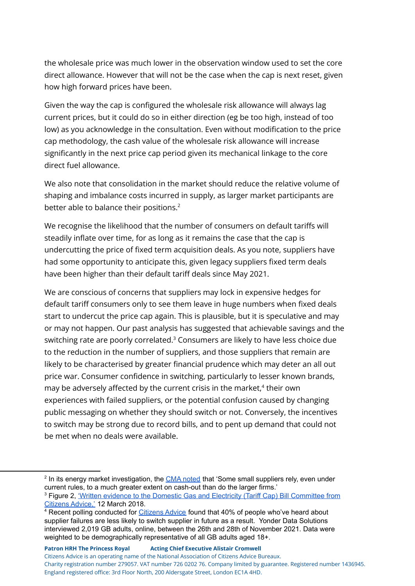the wholesale price was much lower in the observation window used to set the core direct allowance. However that will not be the case when the cap is next reset, given how high forward prices have been.

Given the way the cap is configured the wholesale risk allowance will always lag current prices, but it could do so in either direction (eg be too high, instead of too low) as you acknowledge in the consultation. Even without modification to the price cap methodology, the cash value of the wholesale risk allowance will increase significantly in the next price cap period given its mechanical linkage to the core direct fuel allowance.

We also note that consolidation in the market should reduce the relative volume of shaping and imbalance costs incurred in supply, as larger market participants are better able to balance their positions. 2

We recognise the likelihood that the number of consumers on default tariffs will steadily inflate over time, for as long as it remains the case that the cap is undercutting the price of fixed term acquisition deals. As you note, suppliers have had some opportunity to anticipate this, given legacy suppliers fixed term deals have been higher than their default tariff deals since May 2021.

We are conscious of concerns that suppliers may lock in expensive hedges for default tariff consumers only to see them leave in huge numbers when fixed deals start to undercut the price cap again. This is plausible, but it is speculative and may or may not happen. Our past analysis has suggested that achievable savings and the switching rate are poorly correlated. $^3$  Consumers are likely to have less choice due to the reduction in the number of suppliers, and those suppliers that remain are likely to be characterised by greater financial prudence which may deter an all out price war. Consumer confidence in switching, particularly to lesser known brands, may be adversely affected by the current crisis in the market, $4$  their own experiences with failed suppliers, or the potential confusion caused by changing public messaging on whether they should switch or not. Conversely, the incentives to switch may be strong due to record bills, and to pent up demand that could not be met when no deals were available.

<sup>&</sup>lt;sup>2</sup> In its energy market investigation, the CMA [noted](https://assets.publishing.service.gov.uk/media/559fb56940f0b61567000041/Appendix_5.1_Wholesale_electricity_market_rules.pdf) that 'Some small suppliers rely, even under current rules, to a much greater extent on cash-out than do the larger firms.'

<sup>&</sup>lt;sup>3</sup> Figure 2, 'Written evidence to the Domestic Gas and Electricity (Tariff Cap) Bill [Committee](https://www.citizensadvice.org.uk/Global/CitizensAdvice/Energy/Energy%20Consultation%20responses/Citizens%20Advice%20-%20Written%20evidence%20to%20Domestic%20Gas%20and%20Electricity%20(Tariff%20Cap)%20Bill%20Committee.pdf) from [Citizens](https://www.citizensadvice.org.uk/Global/CitizensAdvice/Energy/Energy%20Consultation%20responses/Citizens%20Advice%20-%20Written%20evidence%20to%20Domestic%20Gas%20and%20Electricity%20(Tariff%20Cap)%20Bill%20Committee.pdf) Advice,' 12 March 2018.

<sup>&</sup>lt;sup>4</sup> Recent polling conducted for *[Citizens](https://www.citizensadvice.org.uk/Global/CitizensAdvice/Energy/Market%20Meltdown%20-%20Citizens%20Advice%20Dec%202021.pdf) Advice* found that 40% of people who've heard about supplier failures are less likely to switch supplier in future as a result. Yonder Data Solutions interviewed 2,019 GB adults, online, between the 26th and 28th of November 2021. Data were weighted to be demographically representative of all GB adults aged 18+.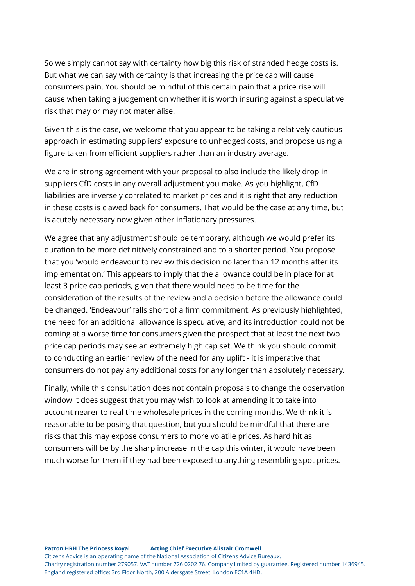So we simply cannot say with certainty how big this risk of stranded hedge costs is. But what we can say with certainty is that increasing the price cap will cause consumers pain. You should be mindful of this certain pain that a price rise will cause when taking a judgement on whether it is worth insuring against a speculative risk that may or may not materialise.

Given this is the case, we welcome that you appear to be taking a relatively cautious approach in estimating suppliers' exposure to unhedged costs, and propose using a figure taken from efficient suppliers rather than an industry average.

We are in strong agreement with your proposal to also include the likely drop in suppliers CfD costs in any overall adjustment you make. As you highlight, CfD liabilities are inversely correlated to market prices and it is right that any reduction in these costs is clawed back for consumers. That would be the case at any time, but is acutely necessary now given other inflationary pressures.

We agree that any adjustment should be temporary, although we would prefer its duration to be more definitively constrained and to a shorter period. You propose that you 'would endeavour to review this decision no later than 12 months after its implementation.' This appears to imply that the allowance could be in place for at least 3 price cap periods, given that there would need to be time for the consideration of the results of the review and a decision before the allowance could be changed. 'Endeavour' falls short of a firm commitment. As previously highlighted, the need for an additional allowance is speculative, and its introduction could not be coming at a worse time for consumers given the prospect that at least the next two price cap periods may see an extremely high cap set. We think you should commit to conducting an earlier review of the need for any uplift - it is imperative that consumers do not pay any additional costs for any longer than absolutely necessary.

Finally, while this consultation does not contain proposals to change the observation window it does suggest that you may wish to look at amending it to take into account nearer to real time wholesale prices in the coming months. We think it is reasonable to be posing that question, but you should be mindful that there are risks that this may expose consumers to more volatile prices. As hard hit as consumers will be by the sharp increase in the cap this winter, it would have been much worse for them if they had been exposed to anything resembling spot prices.